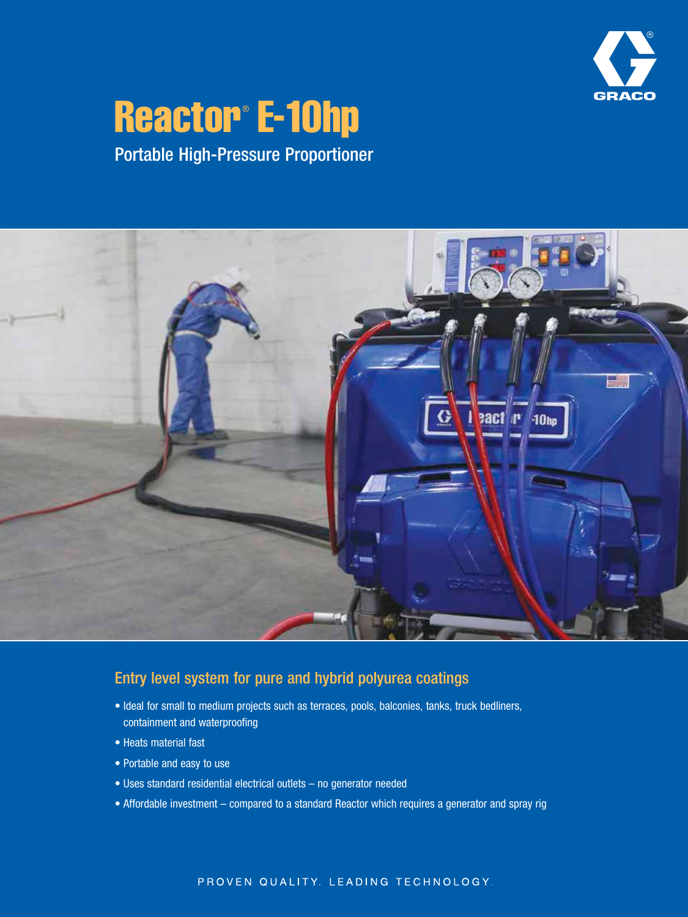

# Reactor® E-10hp

Portable High-Pressure Proportioner



## Entry level system for pure and hybrid polyurea coatings

- Ideal for small to medium projects such as terraces, pools, balconies, tanks, truck bedliners, containment and waterproofing
- Heats material fast
- Portable and easy to use
- Uses standard residential electrical outlets no generator needed
- Affordable investment compared to a standard Reactor which requires a generator and spray rig

#### PROVEN QUALITY. LEADING TECHNOLOGY.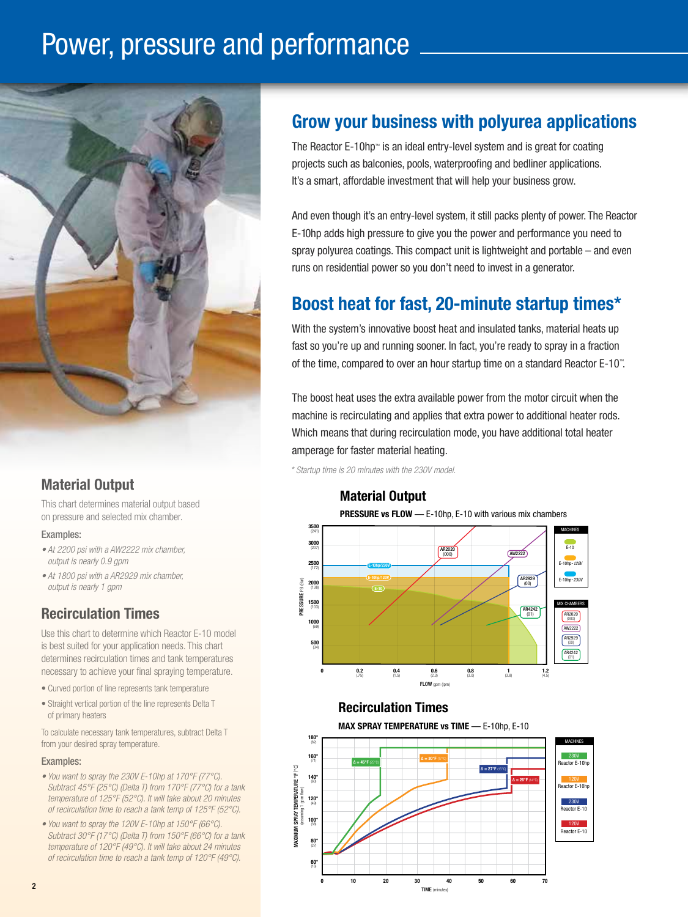## Power, pressure and performance



## Material Output

This chart determines material output based on pressure and selected mix chamber.

#### Examples:

- *At 2200 psi with a AW2222 mix chamber, output is nearly 0.9 gpm*
- *At 1800 psi with a AR2929 mix chamber, output is nearly 1 gpm*

## Recirculation Times

Use this chart to determine which Reactor E-10 model is best suited for your application needs. This chart determines recirculation times and tank temperatures necessary to achieve your final spraying temperature.

- Curved portion of line represents tank temperature
- Straight vertical portion of the line represents Delta T of primary heaters

To calculate necessary tank temperatures, subtract Delta T from your desired spray temperature.

#### Examples:

- *You want to spray the 230V E-10hp at 170°F (77°C). Subtract 45°F (25°C) (Delta T) from 170°F (77°C) for a tank temperature of 125°F (52°C). It will take about 20 minutes of recirculation time to reach a tank temp of 125°F (52°C).*
- *You want to spray the 120V E-10hp at 150°F (66°C). Subtract 30°F (17°C) (Delta T) from 150°F (66°C) for a tank temperature of 120°F (49°C). It will take about 24 minutes of recirculation time to reach a tank temp of 120°F (49°C).*

## Grow your business with polyurea applications

The Reactor E-10hp™ is an ideal entry-level system and is great for coating projects such as balconies, pools, waterproofing and bedliner applications. It's a smart, affordable investment that will help your business grow.

And even though it's an entry-level system, it still packs plenty of power. The Reactor E-10hp adds high pressure to give you the power and performance you need to spray polyurea coatings. This compact unit is lightweight and portable – and even runs on residential power so you don't need to invest in a generator.

## Boost heat for fast, 20-minute startup times\*

With the system's innovative boost heat and insulated tanks, material heats up fast so you're up and running sooner. In fact, you're ready to spray in a fraction of the time, compared to over an hour startup time on a standard Reactor E-10™ .

The boost heat uses the extra available power from the motor circuit when the machine is recirculating and applies that extra power to additional heater rods. Which means that during recirculation mode, you have additional total heater amperage for faster material heating.

*\* Startup time is 20 minutes with the 230V model.*

#### Material Output

PRESSURE vs FLOW — E-10hp, E-10 with various mix chambers



#### Recirculation Times

MAX SPRAY TEMPERATURE vs TIME — E-10hp, E-10



TIME (minutes)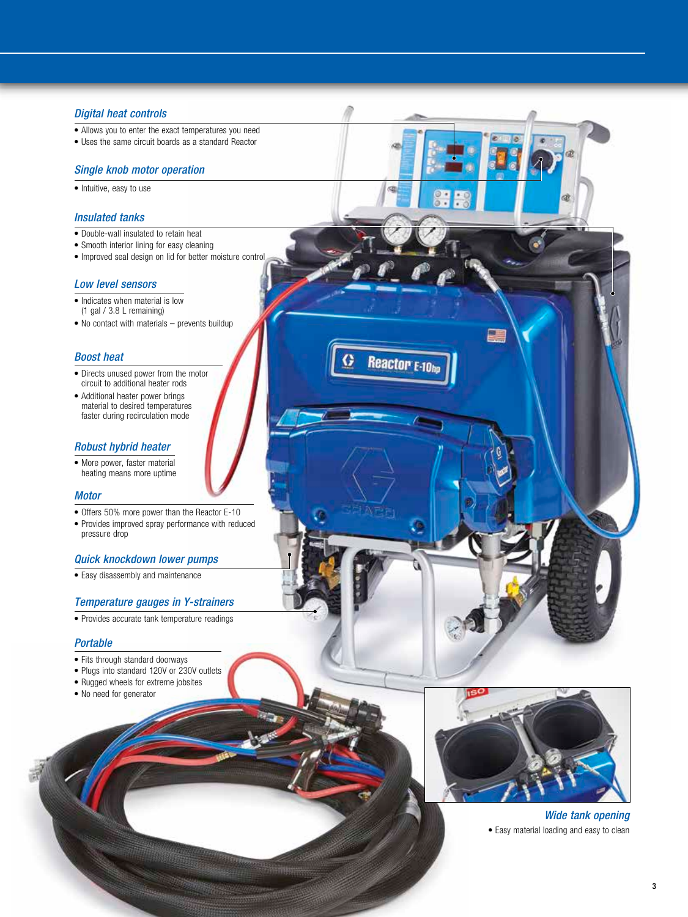#### *Digital heat controls*

- Allows you to enter the exact temperatures you need
- Uses the same circuit boards as a standard Reactor

#### *Single knob motor operation*

• Intuitive, easy to use

#### *Insulated tanks*

- Double-wall insulated to retain heat
- Smooth interior lining for easy cleaning
- Improved seal design on lid for better moisture control

#### *Low level sensors*

- Indicates when material is low (1 gal / 3.8 L remaining)
- No contact with materials prevents buildup

#### *Boost heat*

- Directs unused power from the motor circuit to additional heater rods
- Additional heater power brings material to desired temperatures faster during recirculation mode

#### *Robust hybrid heater*

• More power, faster material heating means more uptime

#### *Motor*

- Offers 50% more power than the Reactor E-10
- Provides improved spray performance with reduced pressure drop

#### *Quick knockdown lower pumps*

• Easy disassembly and maintenance

#### *Temperature gauges in Y-strainers*

• Provides accurate tank temperature readings

#### *Portable*

- Fits through standard doorways
- Plugs into standard 120V or 230V outlets
- Rugged wheels for extreme jobsites
- No need for generator



Reactor <sub>E-10h</sub>

*Wide tank opening* • Easy material loading and easy to clean